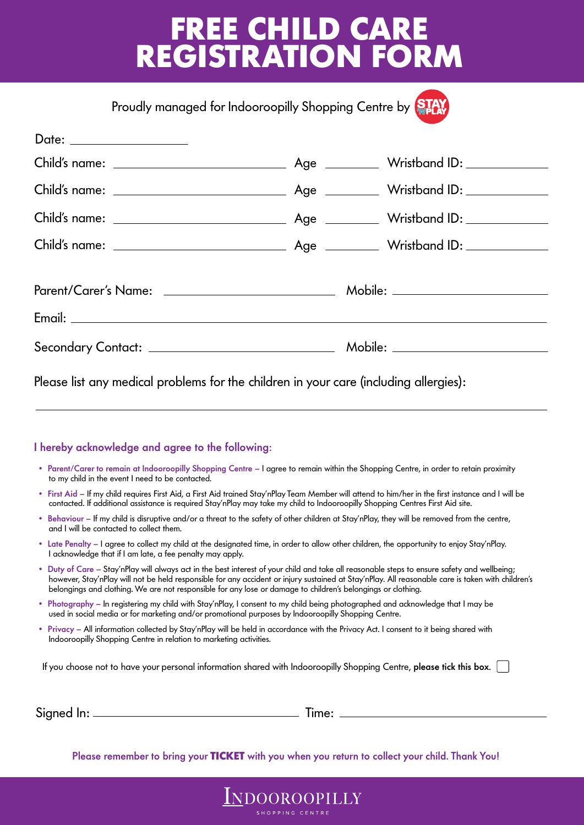## **FREE CHILD CARE REGISTRATION FORM**

Proudly managed for Indooroopilly Shopping Centre by STA

Please list any medical problems for the children in your care (including allergies):

#### I hereby acknowledge and agree to the following:

- Parent/Carer to remain at Indooroopilly Shopping Centre I agree to remain within the Shopping Centre, in order to retain proximity to my child in the event I need to be contacted.
- First Aid If my child requires First Aid, a First Aid trained Stay'nPlay Team Member will attend to him/her in the first instance and I will be contacted. If additional assistance is required Stay'nPlay may take my child to Indooroopilly Shopping Centres First Aid site.
- Behaviour If my child is disruptive and/or a threat to the safety of other children at Stay'nPlay, they will be removed from the centre, and I will be contacted to collect them.
- Late Penalty I agree to collect my child at the designated time, in order to allow other children, the opportunity to enjoy Stay'nPlay. I acknowledge that if I am late, a fee penalty may apply.
- Duty of Care Stay'nPlay will always act in the best interest of your child and take all reasonable steps to ensure safety and wellbeing; however, Stay'nPlay will not be held responsible for any accident or injury sustained at Stay'nPlay. All reasonable care is taken with children's belongings and clothing. We are not responsible for any lose or damage to children's belongings or clothing.
- Photography In registering my child with Stay'nPlay, I consent to my child being photographed and acknowledge that I may be used in social media or for marketing and/or promotional purposes by Indooroopilly Shopping Centre.
- Privacy All information collected by Stay'nPlay will be held in accordance with the Privacy Act. I consent to it being shared with Indooroopilly Shopping Centre in relation to marketing activities.

If you choose not to have your personal information shared with Indooroopilly Shopping Centre, please tick this box.

| Signed In: |  |
|------------|--|
|            |  |

 $\_$  Time:  $\_$ 

Please remember to bring your **TICKET** with you when you return to collect your child. Thank You!